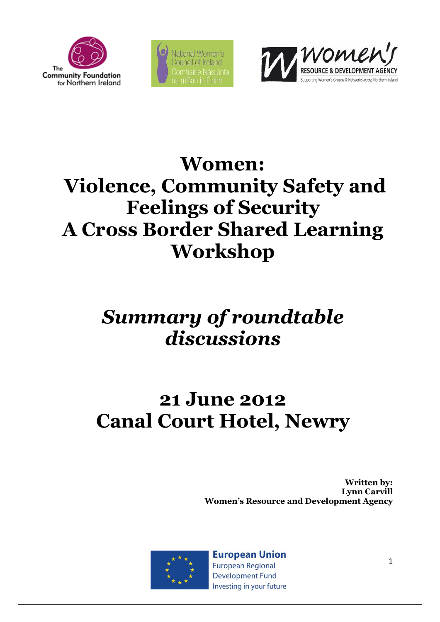

National Women's **Council of Ireland** 



### **Women:**

# **Violence, Community Safety and Feelings of Security A Cross Border Shared Learning Workshop**

### *Summary of roundtable discussions*

# **21 June 2012 Canal Court Hotel, Newry**

**Written by: Lynn Carvill Women's Resource and Development Agency**



**European Union European Regional** 

**Development Fund** Investing in your future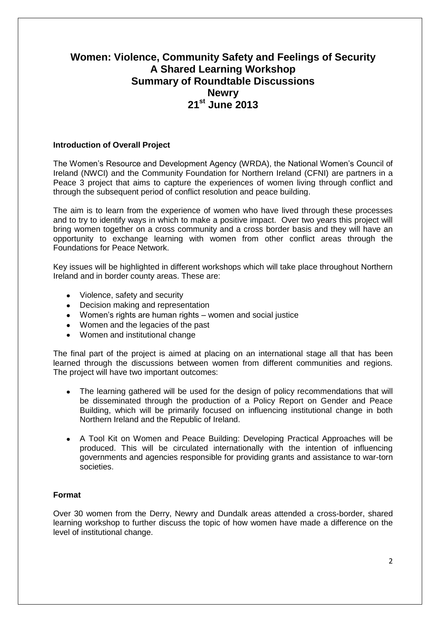### **Women: Violence, Community Safety and Feelings of Security A Shared Learning Workshop Summary of Roundtable Discussions Newry 21st June 2013**

#### **Introduction of Overall Project**

The Women's Resource and Development Agency (WRDA), the National Women's Council of Ireland (NWCI) and the Community Foundation for Northern Ireland (CFNI) are partners in a Peace 3 project that aims to capture the experiences of women living through conflict and through the subsequent period of conflict resolution and peace building.

The aim is to learn from the experience of women who have lived through these processes and to try to identify ways in which to make a positive impact. Over two years this project will bring women together on a cross community and a cross border basis and they will have an opportunity to exchange learning with women from other conflict areas through the Foundations for Peace Network.

Key issues will be highlighted in different workshops which will take place throughout Northern Ireland and in border county areas. These are:

- Violence, safety and security
- Decision making and representation
- Women's rights are human rights women and social justice
- Women and the legacies of the past
- Women and institutional change

The final part of the project is aimed at placing on an international stage all that has been learned through the discussions between women from different communities and regions. The project will have two important outcomes:

- The learning gathered will be used for the design of policy recommendations that will be disseminated through the production of a Policy Report on Gender and Peace Building, which will be primarily focused on influencing institutional change in both Northern Ireland and the Republic of Ireland.
- A Tool Kit on Women and Peace Building: Developing Practical Approaches will be produced. This will be circulated internationally with the intention of influencing governments and agencies responsible for providing grants and assistance to war-torn societies.

#### **Format**

Over 30 women from the Derry, Newry and Dundalk areas attended a cross-border, shared learning workshop to further discuss the topic of how women have made a difference on the level of institutional change.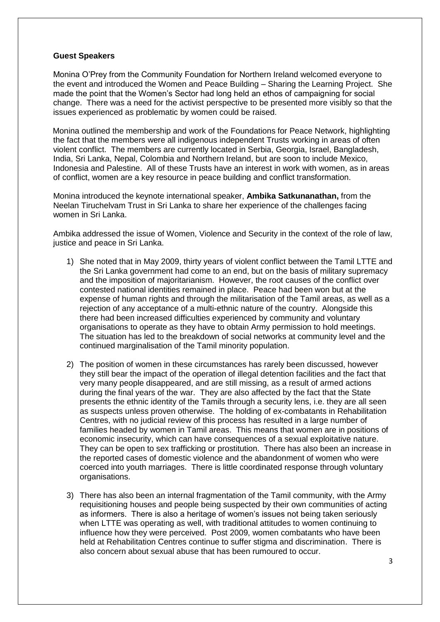#### **Guest Speakers**

Monina O'Prey from the Community Foundation for Northern Ireland welcomed everyone to the event and introduced the Women and Peace Building – Sharing the Learning Project. She made the point that the Women's Sector had long held an ethos of campaigning for social change. There was a need for the activist perspective to be presented more visibly so that the issues experienced as problematic by women could be raised.

Monina outlined the membership and work of the Foundations for Peace Network, highlighting the fact that the members were all indigenous independent Trusts working in areas of often violent conflict. The members are currently located in Serbia, Georgia, Israel, Bangladesh, India, Sri Lanka, Nepal, Colombia and Northern Ireland, but are soon to include Mexico, Indonesia and Palestine. All of these Trusts have an interest in work with women, as in areas of conflict, women are a key resource in peace building and conflict transformation.

Monina introduced the keynote international speaker, **Ambika Satkunanathan,** from the Neelan Tiruchelvam Trust in Sri Lanka to share her experience of the challenges facing women in Sri Lanka.

Ambika addressed the issue of Women, Violence and Security in the context of the role of law, justice and peace in Sri Lanka.

- 1) She noted that in May 2009, thirty years of violent conflict between the Tamil LTTE and the Sri Lanka government had come to an end, but on the basis of military supremacy and the imposition of majoritarianism. However, the root causes of the conflict over contested national identities remained in place. Peace had been won but at the expense of human rights and through the militarisation of the Tamil areas, as well as a rejection of any acceptance of a multi-ethnic nature of the country. Alongside this there had been increased difficulties experienced by community and voluntary organisations to operate as they have to obtain Army permission to hold meetings. The situation has led to the breakdown of social networks at community level and the continued marginalisation of the Tamil minority population.
- 2) The position of women in these circumstances has rarely been discussed, however they still bear the impact of the operation of illegal detention facilities and the fact that very many people disappeared, and are still missing, as a result of armed actions during the final years of the war. They are also affected by the fact that the State presents the ethnic identity of the Tamils through a security lens, i.e. they are all seen as suspects unless proven otherwise. The holding of ex-combatants in Rehabilitation Centres, with no judicial review of this process has resulted in a large number of families headed by women in Tamil areas. This means that women are in positions of economic insecurity, which can have consequences of a sexual exploitative nature. They can be open to sex trafficking or prostitution. There has also been an increase in the reported cases of domestic violence and the abandonment of women who were coerced into youth marriages. There is little coordinated response through voluntary organisations.
- 3) There has also been an internal fragmentation of the Tamil community, with the Army requisitioning houses and people being suspected by their own communities of acting as informers. There is also a heritage of women's issues not being taken seriously when LTTE was operating as well, with traditional attitudes to women continuing to influence how they were perceived. Post 2009, women combatants who have been held at Rehabilitation Centres continue to suffer stigma and discrimination. There is also concern about sexual abuse that has been rumoured to occur.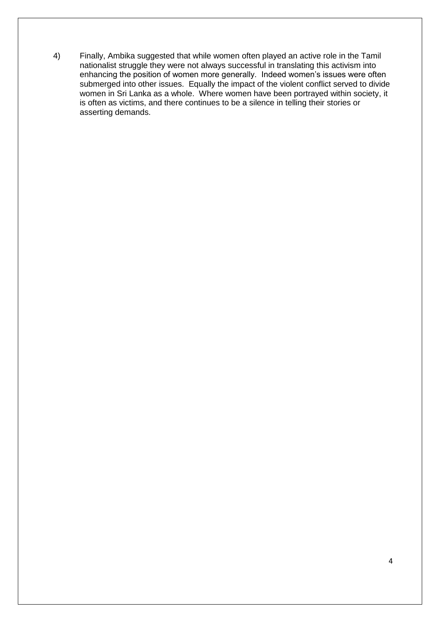4) Finally, Ambika suggested that while women often played an active role in the Tamil nationalist struggle they were not always successful in translating this activism into enhancing the position of women more generally. Indeed women's issues were often submerged into other issues. Equally the impact of the violent conflict served to divide women in Sri Lanka as a whole. Where women have been portrayed within society, it is often as victims, and there continues to be a silence in telling their stories or asserting demands.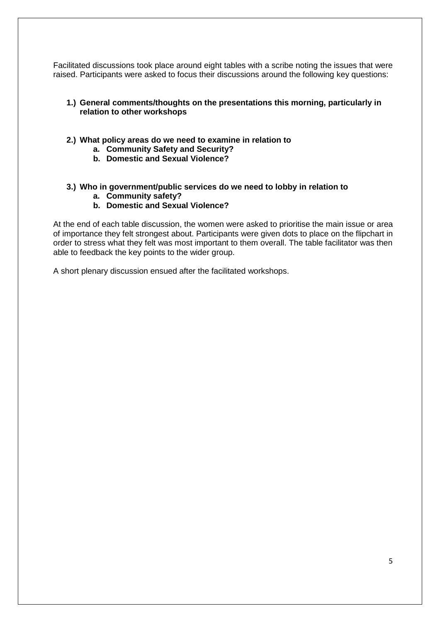Facilitated discussions took place around eight tables with a scribe noting the issues that were raised. Participants were asked to focus their discussions around the following key questions:

#### **1.) General comments/thoughts on the presentations this morning, particularly in relation to other workshops**

- **2.) What policy areas do we need to examine in relation to** 
	- **a. Community Safety and Security?**
	- **b. Domestic and Sexual Violence?**

#### **3.) Who in government/public services do we need to lobby in relation to**

- **a. Community safety?**
- **b. Domestic and Sexual Violence?**

At the end of each table discussion, the women were asked to prioritise the main issue or area of importance they felt strongest about. Participants were given dots to place on the flipchart in order to stress what they felt was most important to them overall. The table facilitator was then able to feedback the key points to the wider group.

A short plenary discussion ensued after the facilitated workshops.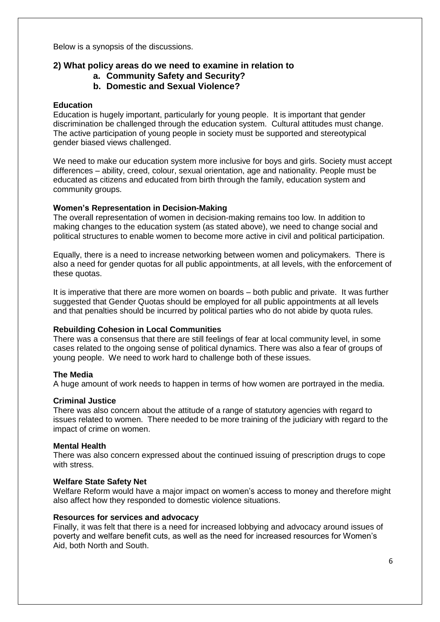Below is a synopsis of the discussions.

#### **2) What policy areas do we need to examine in relation to**

- **a. Community Safety and Security?**
- **b. Domestic and Sexual Violence?**

#### **Education**

Education is hugely important, particularly for young people. It is important that gender discrimination be challenged through the education system. Cultural attitudes must change. The active participation of young people in society must be supported and stereotypical gender biased views challenged.

We need to make our education system more inclusive for boys and girls. Society must accept differences – ability, creed, colour, sexual orientation, age and nationality. People must be educated as citizens and educated from birth through the family, education system and community groups.

#### **Women's Representation in Decision-Making**

The overall representation of women in decision-making remains too low. In addition to making changes to the education system (as stated above), we need to change social and political structures to enable women to become more active in civil and political participation.

Equally, there is a need to increase networking between women and policymakers. There is also a need for gender quotas for all public appointments, at all levels, with the enforcement of these quotas.

It is imperative that there are more women on boards – both public and private. It was further suggested that Gender Quotas should be employed for all public appointments at all levels and that penalties should be incurred by political parties who do not abide by quota rules.

#### **Rebuilding Cohesion in Local Communities**

There was a consensus that there are still feelings of fear at local community level, in some cases related to the ongoing sense of political dynamics. There was also a fear of groups of young people. We need to work hard to challenge both of these issues.

#### **The Media**

A huge amount of work needs to happen in terms of how women are portrayed in the media.

#### **Criminal Justice**

There was also concern about the attitude of a range of statutory agencies with regard to issues related to women. There needed to be more training of the judiciary with regard to the impact of crime on women.

#### **Mental Health**

There was also concern expressed about the continued issuing of prescription drugs to cope with stress.

#### **Welfare State Safety Net**

Welfare Reform would have a major impact on women's access to money and therefore might also affect how they responded to domestic violence situations.

#### **Resources for services and advocacy**

Finally, it was felt that there is a need for increased lobbying and advocacy around issues of poverty and welfare benefit cuts, as well as the need for increased resources for Women's Aid, both North and South.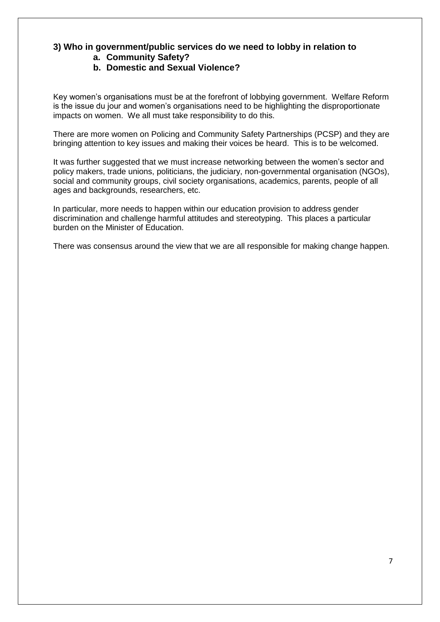#### **3) Who in government/public services do we need to lobby in relation to a. Community Safety?**

#### **b. Domestic and Sexual Violence?**

Key women's organisations must be at the forefront of lobbying government. Welfare Reform is the issue du jour and women's organisations need to be highlighting the disproportionate impacts on women. We all must take responsibility to do this.

There are more women on Policing and Community Safety Partnerships (PCSP) and they are bringing attention to key issues and making their voices be heard. This is to be welcomed.

It was further suggested that we must increase networking between the women's sector and policy makers, trade unions, politicians, the judiciary, non-governmental organisation (NGOs), social and community groups, civil society organisations, academics, parents, people of all ages and backgrounds, researchers, etc.

In particular, more needs to happen within our education provision to address gender discrimination and challenge harmful attitudes and stereotyping. This places a particular burden on the Minister of Education.

There was consensus around the view that we are all responsible for making change happen.